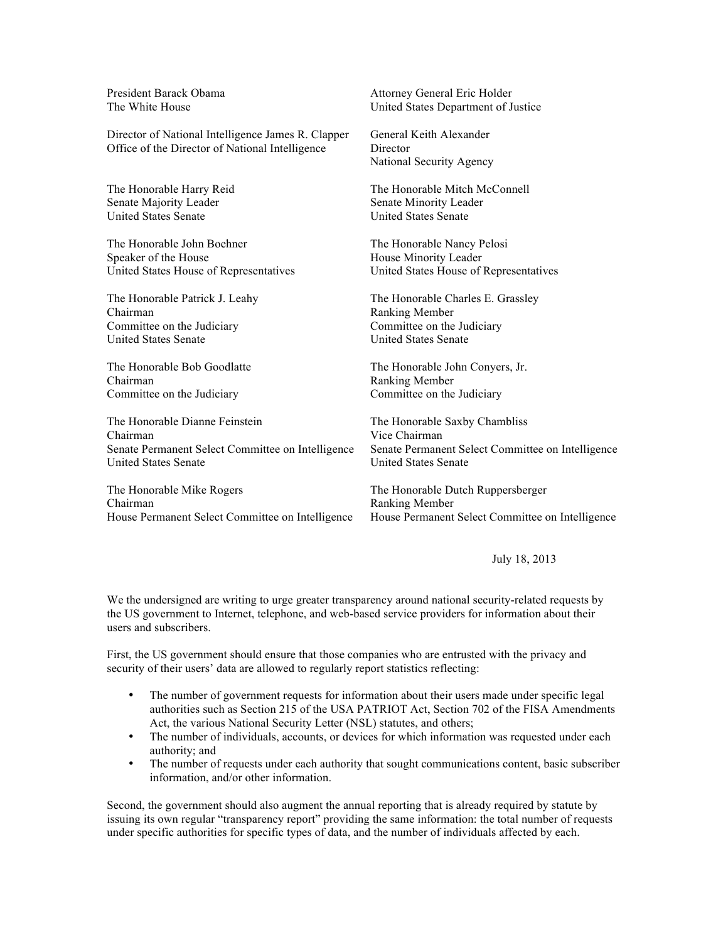President Barack Obama The White House

Director of National Intelligence James R. Clapper Office of the Director of National Intelligence

The Honorable Harry Reid Senate Majority Leader United States Senate

The Honorable John Boehner Speaker of the House United States House of Representatives

The Honorable Patrick J. Leahy Chairman Committee on the Judiciary United States Senate

The Honorable Bob Goodlatte Chairman Committee on the Judiciary

The Honorable Dianne Feinstein Chairman Senate Permanent Select Committee on Intelligence United States Senate

The Honorable Mike Rogers Chairman House Permanent Select Committee on Intelligence Attorney General Eric Holder United States Department of Justice

General Keith Alexander **Director** National Security Agency

The Honorable Mitch McConnell Senate Minority Leader United States Senate

The Honorable Nancy Pelosi House Minority Leader United States House of Representatives

The Honorable Charles E. Grassley Ranking Member Committee on the Judiciary United States Senate

The Honorable John Conyers, Jr. Ranking Member Committee on the Judiciary

The Honorable Saxby Chambliss Vice Chairman Senate Permanent Select Committee on Intelligence United States Senate

The Honorable Dutch Ruppersberger Ranking Member House Permanent Select Committee on Intelligence

July 18, 2013

We the undersigned are writing to urge greater transparency around national security-related requests by the US government to Internet, telephone, and web-based service providers for information about their users and subscribers.

First, the US government should ensure that those companies who are entrusted with the privacy and security of their users' data are allowed to regularly report statistics reflecting:

- The number of government requests for information about their users made under specific legal authorities such as Section 215 of the USA PATRIOT Act, Section 702 of the FISA Amendments Act, the various National Security Letter (NSL) statutes, and others;
- The number of individuals, accounts, or devices for which information was requested under each authority; and
- The number of requests under each authority that sought communications content, basic subscriber information, and/or other information.

Second, the government should also augment the annual reporting that is already required by statute by issuing its own regular "transparency report" providing the same information: the total number of requests under specific authorities for specific types of data, and the number of individuals affected by each.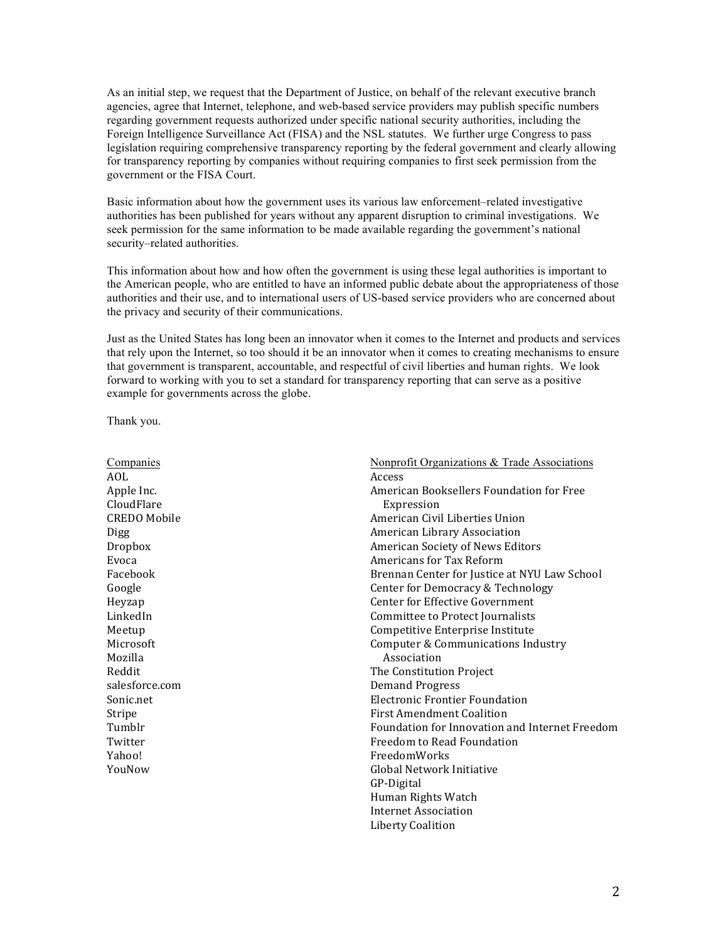As an initial step, we request that the Department of Justice, on behalf of the relevant executive branch agencies, agree that Internet, telephone, and web-based service providers may publish specific numbers regarding government requests authorized under specific national security authorities, including the Foreign Intelligence Surveillance Act (FISA) and the NSL statutes. We further urge Congress to pass legislation requiring comprehensive transparency reporting by the federal government and clearly allowing for transparency reporting by companies without requiring companies to first seek permission from the government or the FISA Court.

Basic information about how the government uses its various law enforcement–related investigative authorities has been published for years without any apparent disruption to criminal investigations. We seek permission for the same information to be made available regarding the government's national security–related authorities.

This information about how and how often the government is using these legal authorities is important to the American people, who are entitled to have an informed public debate about the appropriateness of those authorities and their use, and to international users of US-based service providers who are concerned about the privacy and security of their communications.

Just as the United States has long been an innovator when it comes to the Internet and products and services that rely upon the Internet, so too should it be an innovator when it comes to creating mechanisms to ensure that government is transparent, accountable, and respectful of civil liberties and human rights. We look forward to working with you to set a standard for transparency reporting that can serve as a positive example for governments across the globe.

Thank you.

| Companies           | <b>Nonprofit Organizations &amp; Trade Associations</b> |
|---------------------|---------------------------------------------------------|
| AOL                 | Access                                                  |
| Apple Inc.          | American Booksellers Foundation for Free                |
| CloudFlare          | Expression                                              |
| <b>CREDO</b> Mobile | American Civil Liberties Union                          |
| <b>Digg</b>         | American Library Association                            |
| Dropbox             | American Society of News Editors                        |
| Evoca               | Americans for Tax Reform                                |
| Facebook            | Brennan Center for Justice at NYU Law School            |
| Google              | Center for Democracy & Technology                       |
| Heyzap              | Center for Effective Government                         |
| LinkedIn            | Committee to Protect Journalists                        |
| Meetup              | Competitive Enterprise Institute                        |
| Microsoft           | Computer & Communications Industry                      |
| Mozilla             | Association                                             |
| Reddit              | The Constitution Project                                |
| salesforce.com      | Demand Progress                                         |
| Sonic.net           | Electronic Frontier Foundation                          |
| Stripe              | <b>First Amendment Coalition</b>                        |
| Tumblr              | Foundation for Innovation and Internet Freedom          |
| Twitter             | Freedom to Read Foundation                              |
| Yahoo!              | <b>FreedomWorks</b>                                     |
| YouNow              | Global Network Initiative                               |
|                     | GP-Digital                                              |
|                     | Human Rights Watch                                      |
|                     | Internet Association                                    |
|                     | <b>Liberty Coalition</b>                                |